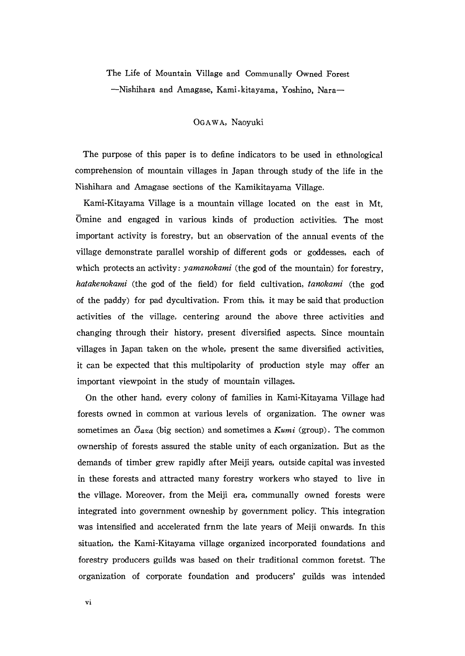## The Life of Mountain Village and Communally Owned Forest Nishihara and Amagase, Kami.kitayama, Yoshino, Nara一

OGAwA, Naoyuki

 The purpose of this paper is to define indicators to be used in ethnological comprehension of mountain villages in Japan through study of the life in the Nishihara and Amagase sections of the Kamikitayama Village.

 Kami-Kitayama Village is a mountain village located on the east in Mt, Omine and engaged in various kinds of production activities. The most important activity is forestry, but an observation of the annual events of the village demonstrate parallel worship of different gods or goddesses, each of which protects an activity: *yamanokami* (the god of the mountain) for forestry, hatakenokami (the god of the field) for field cultivation, tanokami (the god of the paddy) for pad dycultivation. From this, it may be said that production activities of the village, centering around the above three activities and changing through their history, present diversified aspects. Since mountain villages in Japan taken on the whole, present the same diversified activities, it can be expected that this multipolarity of production style may offer an important viewpoint in the study of mountain villages.

 On the other hand, every colony of families in Kami-Kitayama Village had forests owned in common at various levels of organization. The owner was sometimes an  $\overline{O}$  axa (big section) and sometimes a Kumi (group). The common ownership of forests assured the stable unity of each organization. But as the demands of timber grew rapidly after Meiji years, outside capital was invested in these forests and attracted many forestry workers who stayed to live in the village. Moreover, from the Meiji era, communally owned forests were integrated into government owneship by government policy. This integration was intensified and accelerated frnm the late years of Meiji onwards. In this situation, the Kami-Kitayama village organized incorporated foundations and forestry producers guilds was based on their traditional common foretst. The organization of corporate foundation and producers'guilds was intended